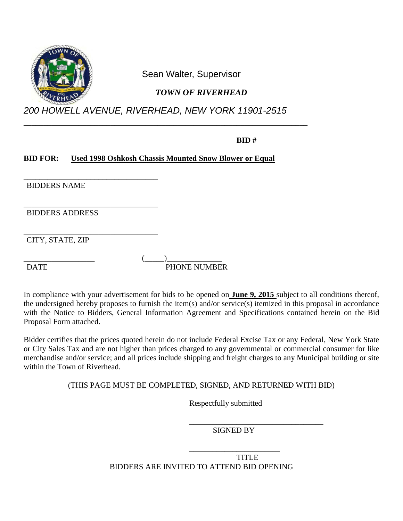

Sean Walter, Supervisor

# *TOWN OF RIVERHEAD*

*200 HOWELL AVENUE, RIVERHEAD, NEW YORK 11901-2515*

\_\_\_\_\_\_\_\_\_\_\_\_\_\_\_\_\_\_\_\_\_\_\_\_\_\_\_\_\_\_\_\_\_\_\_\_\_\_\_\_\_\_\_\_\_\_\_\_\_\_\_\_\_\_\_\_\_\_\_\_\_\_\_\_\_\_\_\_\_\_\_\_

### **BID #**

### **BID FOR: Used 1998 Oshkosh Chassis Mounted Snow Blower or Equal**

\_\_\_\_\_\_\_\_\_\_\_\_\_\_\_\_\_\_\_\_\_\_\_\_\_\_\_\_\_\_\_\_\_\_ BIDDERS NAME

\_\_\_\_\_\_\_\_\_\_\_\_\_\_\_\_\_\_\_\_\_\_\_\_\_\_\_\_\_\_\_\_\_\_ BIDDERS ADDRESS

\_\_\_\_\_\_\_\_\_\_\_\_\_\_\_\_\_\_\_\_\_\_\_\_\_\_\_\_\_\_\_\_\_\_ CITY, STATE, ZIP

 $\qquad \qquad (\underline{\hspace{1cm}}) \qquad \qquad$ DATE PHONE NUMBER

In compliance with your advertisement for bids to be opened on **June 9, 2015** subject to all conditions thereof, the undersigned hereby proposes to furnish the item(s) and/or service(s) itemized in this proposal in accordance with the Notice to Bidders, General Information Agreement and Specifications contained herein on the Bid Proposal Form attached.

Bidder certifies that the prices quoted herein do not include Federal Excise Tax or any Federal, New York State or City Sales Tax and are not higher than prices charged to any governmental or commercial consumer for like merchandise and/or service; and all prices include shipping and freight charges to any Municipal building or site within the Town of Riverhead.

(THIS PAGE MUST BE COMPLETED, SIGNED, AND RETURNED WITH BID)

Respectfully submitted

\_\_\_\_\_\_\_\_\_\_\_\_\_\_\_\_\_\_\_\_\_\_\_\_\_\_\_\_\_\_\_\_\_\_ SIGNED BY

\_\_\_\_\_\_\_\_\_\_\_\_\_\_\_\_\_\_\_\_\_\_\_ TITLE BIDDERS ARE INVITED TO ATTEND BID OPENING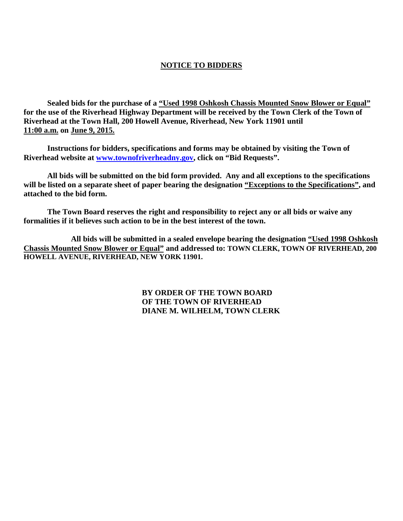#### **NOTICE TO BIDDERS**

**Sealed bids for the purchase of a "Used 1998 Oshkosh Chassis Mounted Snow Blower or Equal" for the use of the Riverhead Highway Department will be received by the Town Clerk of the Town of Riverhead at the Town Hall, 200 Howell Avenue, Riverhead, New York 11901 until 11:00 a.m. on June 9, 2015.**

**Instructions for bidders, specifications and forms may be obtained by visiting the Town of Riverhead website at [www.townofriverheadny.gov,](http://www.townofriverheadny.gov/) click on "Bid Requests".**

**All bids will be submitted on the bid form provided. Any and all exceptions to the specifications will be listed on a separate sheet of paper bearing the designation "Exceptions to the Specifications", and attached to the bid form.**

**The Town Board reserves the right and responsibility to reject any or all bids or waive any formalities if it believes such action to be in the best interest of the town.**

**All bids will be submitted in a sealed envelope bearing the designation "Used 1998 Oshkosh Chassis Mounted Snow Blower or Equal" and addressed to: TOWN CLERK, TOWN OF RIVERHEAD, 200 HOWELL AVENUE, RIVERHEAD, NEW YORK 11901.**

> **BY ORDER OF THE TOWN BOARD OF THE TOWN OF RIVERHEAD DIANE M. WILHELM, TOWN CLERK**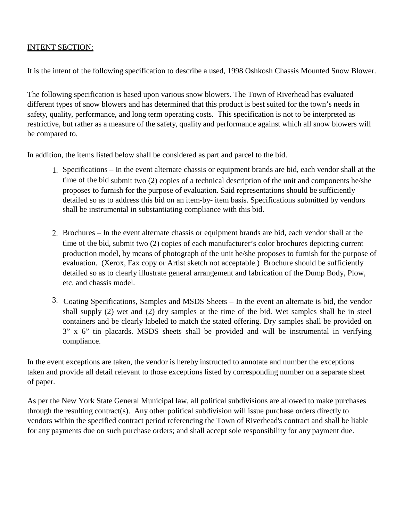#### INTENT SECTION:

It is the intent of the following specification to describe a used, 1998 Oshkosh Chassis Mounted Snow Blower.

The following specification is based upon various snow blowers. The Town of Riverhead has evaluated different types of snow blowers and has determined that this product is best suited for the town's needs in safety, quality, performance, and long term operating costs. This specification is not to be interpreted as restrictive, but rather as a measure of the safety, quality and performance against which all snow blowers will be compared to.

In addition, the items listed below shall be considered as part and parcel to the bid.

- 1. Specifications In the event alternate chassis or equipment brands are bid, each vendor shall at the time of the bid submit two (2) copies of a technical description of the unit and components he/she proposes to furnish for the purpose of evaluation. Said representations should be sufficiently detailed so as to address this bid on an item-by- item basis. Specifications submitted by vendors shall be instrumental in substantiating compliance with this bid.
- 2. Brochures In the event alternate chassis or equipment brands are bid, each vendor shall at the time of the bid, submit two (2) copies of each manufacturer's color brochures depicting current production model, by means of photograph of the unit he/she proposes to furnish for the purpose of evaluation. (Xerox, Fax copy or Artist sketch not acceptable.) Brochure should be sufficiently detailed so as to clearly illustrate general arrangement and fabrication of the Dump Body, Plow, etc. and chassis model.
- 3. Coating Specifications, Samples and MSDS Sheets In the event an alternate is bid, the vendor shall supply (2) wet and (2) dry samples at the time of the bid. Wet samples shall be in steel containers and be clearly labeled to match the stated offering. Dry samples shall be provided on 3" x 6" tin placards. MSDS sheets shall be provided and will be instrumental in verifying compliance.

In the event exceptions are taken, the vendor is hereby instructed to annotate and number the exceptions taken and provide all detail relevant to those exceptions listed by corresponding number on a separate sheet of paper.

As per the New York State General Municipal law, all political subdivisions are allowed to make purchases through the resulting contract(s). Any other political subdivision will issue purchase orders directly to vendors within the specified contract period referencing the Town of Riverhead's contract and shall be liable for any payments due on such purchase orders; and shall accept sole responsibility for any payment due.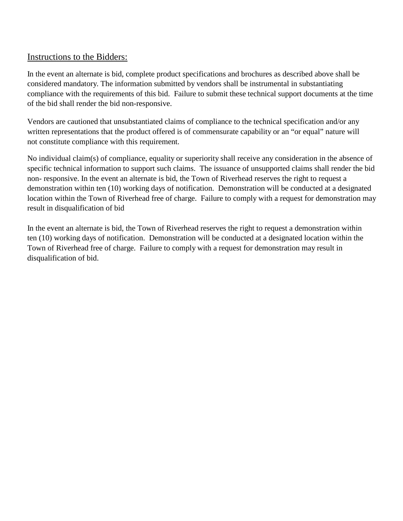### Instructions to the Bidders:

In the event an alternate is bid, complete product specifications and brochures as described above shall be considered mandatory. The information submitted by vendors shall be instrumental in substantiating compliance with the requirements of this bid. Failure to submit these technical support documents at the time of the bid shall render the bid non-responsive.

Vendors are cautioned that unsubstantiated claims of compliance to the technical specification and/or any written representations that the product offered is of commensurate capability or an "or equal" nature will not constitute compliance with this requirement.

No individual claim(s) of compliance, equality or superiority shall receive any consideration in the absence of specific technical information to support such claims. The issuance of unsupported claims shall render the bid non- responsive. In the event an alternate is bid, the Town of Riverhead reserves the right to request a demonstration within ten (10) working days of notification. Demonstration will be conducted at a designated location within the Town of Riverhead free of charge. Failure to comply with a request for demonstration may result in disqualification of bid

In the event an alternate is bid, the Town of Riverhead reserves the right to request a demonstration within ten (10) working days of notification. Demonstration will be conducted at a designated location within the Town of Riverhead free of charge. Failure to comply with a request for demonstration may result in disqualification of bid.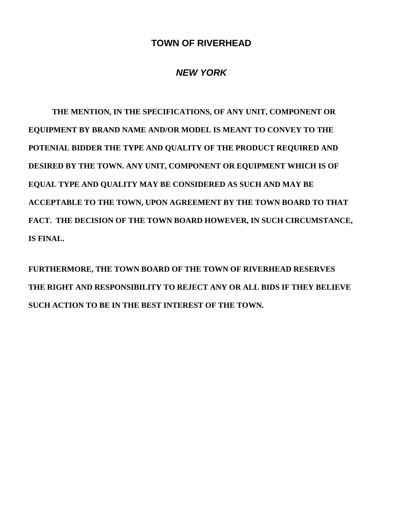# **TOWN OF RIVERHEAD**

# *NEW YORK*

**THE MENTION, IN THE SPECIFICATIONS, OF ANY UNIT, COMPONENT OR EQUIPMENT BY BRAND NAME AND/OR MODEL IS MEANT TO CONVEY TO THE POTENIAL BIDDER THE TYPE AND QUALITY OF THE PRODUCT REQUIRED AND DESIRED BY THE TOWN. ANY UNIT, COMPONENT OR EQUIPMENT WHICH IS OF EQUAL TYPE AND QUALITY MAY BE CONSIDERED AS SUCH AND MAY BE ACCEPTABLE TO THE TOWN, UPON AGREEMENT BY THE TOWN BOARD TO THAT FACT. THE DECISION OF THE TOWN BOARD HOWEVER, IN SUCH CIRCUMSTANCE, IS FINAL.**

**FURTHERMORE, THE TOWN BOARD OF THE TOWN OF RIVERHEAD RESERVES THE RIGHT AND RESPONSIBILITY TO REJECT ANY OR ALL BIDS IF THEY BELIEVE SUCH ACTION TO BE IN THE BEST INTEREST OF THE TOWN.**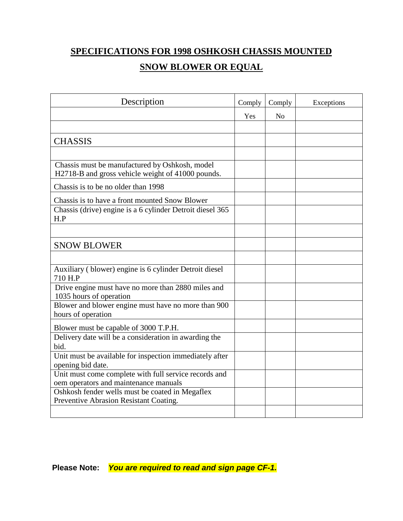# **SPECIFICATIONS FOR 1998 OSHKOSH CHASSIS MOUNTED**

# **SNOW BLOWER OR EQUAL**

| Description                                                                                         | Comply | Comply         | Exceptions |
|-----------------------------------------------------------------------------------------------------|--------|----------------|------------|
|                                                                                                     | Yes    | N <sub>o</sub> |            |
|                                                                                                     |        |                |            |
| <b>CHASSIS</b>                                                                                      |        |                |            |
|                                                                                                     |        |                |            |
| Chassis must be manufactured by Oshkosh, model<br>H2718-B and gross vehicle weight of 41000 pounds. |        |                |            |
| Chassis is to be no older than 1998                                                                 |        |                |            |
| Chassis is to have a front mounted Snow Blower                                                      |        |                |            |
| Chassis (drive) engine is a 6 cylinder Detroit diesel 365<br>H.P                                    |        |                |            |
|                                                                                                     |        |                |            |
| <b>SNOW BLOWER</b>                                                                                  |        |                |            |
|                                                                                                     |        |                |            |
| Auxiliary (blower) engine is 6 cylinder Detroit diesel<br>710 H.P                                   |        |                |            |
| Drive engine must have no more than 2880 miles and<br>1035 hours of operation                       |        |                |            |
| Blower and blower engine must have no more than 900<br>hours of operation                           |        |                |            |
| Blower must be capable of 3000 T.P.H.                                                               |        |                |            |
| Delivery date will be a consideration in awarding the<br>bid.                                       |        |                |            |
| Unit must be available for inspection immediately after<br>opening bid date.                        |        |                |            |
| Unit must come complete with full service records and<br>oem operators and maintenance manuals      |        |                |            |
| Oshkosh fender wells must be coated in Megaflex<br>Preventive Abrasion Resistant Coating.           |        |                |            |
|                                                                                                     |        |                |            |

**Please Note:** *You are required to read and sign page CF-1.*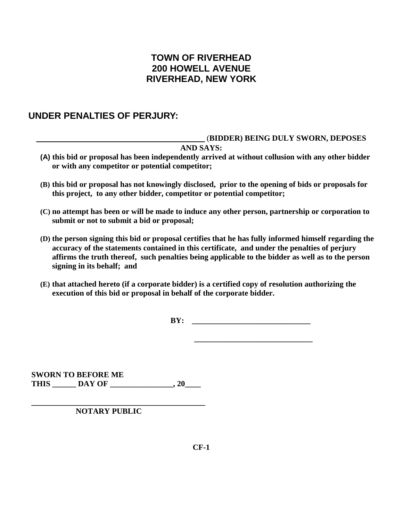# **TOWN OF RIVERHEAD 200 HOWELL AVENUE RIVERHEAD, NEW YORK**

### **UNDER PENALTIES OF PERJURY:**

#### **\_\_\_\_\_\_\_\_\_\_\_\_\_\_\_\_\_\_\_\_\_\_\_\_\_\_\_\_\_\_\_\_** (**BIDDER) BEING DULY SWORN, DEPOSES**

#### **AND SAYS:**

- **(A) this bid or proposal has been independently arrived at without collusion with any other bidder or with any competitor or potential competitor;**
- **(B) this bid or proposal has not knowingly disclosed, prior to the opening of bids or proposals for this project, to any other bidder, competitor or potential competitor;**
- **(C) no attempt has been or will be made to induce any other person, partnership or corporation to submit or not to submit a bid or proposal;**
- **(D) the person signing this bid or proposal certifies that he has fully informed himself regarding the accuracy of the statements contained in this certificate, and under the penalties of perjury affirms the truth thereof, such penalties being applicable to the bidder as well as to the person signing in its behalf; and**
- **(E) that attached hereto (if a corporate bidder) is a certified copy of resolution authorizing the execution of this bid or proposal in behalf of the corporate bidder.**

**BY: \_\_\_\_\_\_\_\_\_\_\_\_\_\_\_\_\_\_\_\_\_\_\_\_\_\_\_\_\_\_**

**\_\_\_\_\_\_\_\_\_\_\_\_\_\_\_\_\_\_\_\_\_\_\_\_\_\_\_\_\_\_**

**SWORN TO BEFORE ME THIS \_\_\_\_\_\_ DAY OF \_\_\_\_\_\_\_\_\_\_\_\_\_\_\_\_, 20\_\_\_\_**

**\_\_\_\_\_\_\_\_\_\_\_\_\_\_\_\_\_\_\_\_\_\_\_\_\_\_\_\_\_\_\_\_\_\_\_\_\_\_\_\_\_\_\_\_ NOTARY PUBLIC**

**CF-1**